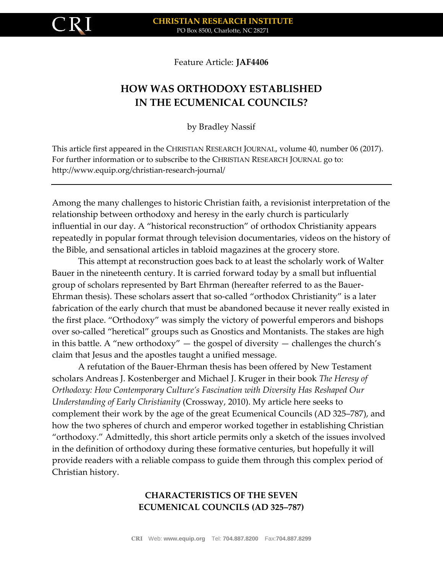

Feature Article: **JAF4406**

# **HOW WAS ORTHODOXY ESTABLISHED IN THE ECUMENICAL COUNCILS?**

by Bradley Nassif

This article first appeared in the CHRISTIAN RESEARCH JOURNAL, volume 40, number 06 (2017). For further information or to subscribe to the CHRISTIAN RESEARCH JOURNAL go to: http://www.equip.org/christian-research-journal/

Among the many challenges to historic Christian faith, a revisionist interpretation of the relationship between orthodoxy and heresy in the early church is particularly influential in our day. A "historical reconstruction" of orthodox Christianity appears repeatedly in popular format through television documentaries, videos on the history of the Bible, and sensational articles in tabloid magazines at the grocery store.

This attempt at reconstruction goes back to at least the scholarly work of Walter Bauer in the nineteenth century. It is carried forward today by a small but influential group of scholars represented by Bart Ehrman (hereafter referred to as the Bauer-Ehrman thesis). These scholars assert that so-called "orthodox Christianity" is a later fabrication of the early church that must be abandoned because it never really existed in the first place. "Orthodoxy" was simply the victory of powerful emperors and bishops over so-called "heretical" groups such as Gnostics and Montanists. The stakes are high in this battle. A "new orthodoxy"  $-$  the gospel of diversity  $-$  challenges the church's claim that Jesus and the apostles taught a unified message.

A refutation of the Bauer-Ehrman thesis has been offered by New Testament scholars Andreas J. Kostenberger and Michael J. Kruger in their book *The Heresy of Orthodoxy: How Contemporary Culture's Fascination with Diversity Has Reshaped Our Understanding of Early Christianity* (Crossway, 2010). My article here seeks to complement their work by the age of the great Ecumenical Councils (AD 325–787), and how the two spheres of church and emperor worked together in establishing Christian "orthodoxy." Admittedly, this short article permits only a sketch of the issues involved in the definition of orthodoxy during these formative centuries, but hopefully it will provide readers with a reliable compass to guide them through this complex period of Christian history.

## **CHARACTERISTICS OF THE SEVEN ECUMENICAL COUNCILS (AD 325–787)**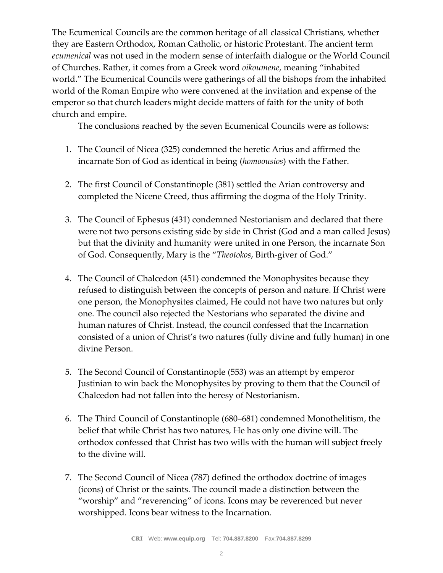The Ecumenical Councils are the common heritage of all classical Christians, whether they are Eastern Orthodox, Roman Catholic, or historic Protestant. The ancient term *ecumenical* was not used in the modern sense of interfaith dialogue or the World Council of Churches. Rather, it comes from a Greek word *oikoumene*, meaning "inhabited world." The Ecumenical Councils were gatherings of all the bishops from the inhabited world of the Roman Empire who were convened at the invitation and expense of the emperor so that church leaders might decide matters of faith for the unity of both church and empire.

The conclusions reached by the seven Ecumenical Councils were as follows:

- 1. The Council of Nicea (325) condemned the heretic Arius and affirmed the incarnate Son of God as identical in being (*homoousios*) with the Father.
- 2. The first Council of Constantinople (381) settled the Arian controversy and completed the Nicene Creed, thus affirming the dogma of the Holy Trinity.
- 3. The Council of Ephesus (431) condemned Nestorianism and declared that there were not two persons existing side by side in Christ (God and a man called Jesus) but that the divinity and humanity were united in one Person, the incarnate Son of God. Consequently, Mary is the "*Theotokos*, Birth-giver of God."
- 4. The Council of Chalcedon (451) condemned the Monophysites because they refused to distinguish between the concepts of person and nature. If Christ were one person, the Monophysites claimed, He could not have two natures but only one. The council also rejected the Nestorians who separated the divine and human natures of Christ. Instead, the council confessed that the Incarnation consisted of a union of Christ's two natures (fully divine and fully human) in one divine Person.
- 5. The Second Council of Constantinople (553) was an attempt by emperor Justinian to win back the Monophysites by proving to them that the Council of Chalcedon had not fallen into the heresy of Nestorianism.
- 6. The Third Council of Constantinople (680–681) condemned Monothelitism, the belief that while Christ has two natures, He has only one divine will. The orthodox confessed that Christ has two wills with the human will subject freely to the divine will.
- 7. The Second Council of Nicea (787) defined the orthodox doctrine of images (icons) of Christ or the saints. The council made a distinction between the "worship" and "reverencing" of icons. Icons may be reverenced but never worshipped. Icons bear witness to the Incarnation.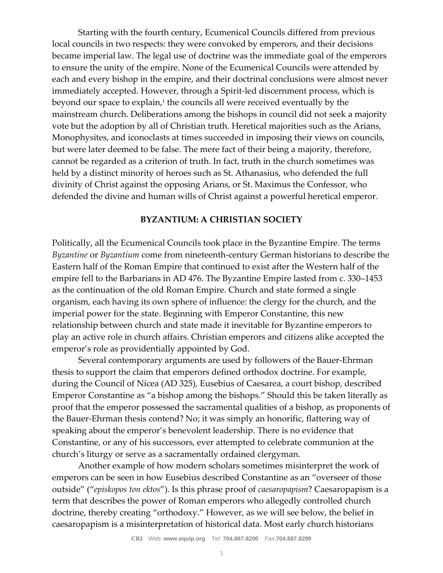Starting with the fourth century, Ecumenical Councils differed from previous local councils in two respects: they were convoked by emperors, and their decisions became imperial law. The legal use of doctrine was the immediate goal of the emperors to ensure the unity of the empire. None of the Ecumenical Councils were attended by each and every bishop in the empire, and their doctrinal conclusions were almost never immediately accepted. However, through a Spirit-led discernment process, which is beyond our space to explain,<sup>1</sup> the councils all were received eventually by the mainstream church. Deliberations among the bishops in council did not seek a majority vote but the adoption by all of Christian truth. Heretical majorities such as the Arians, Monophysites, and iconoclasts at times succeeded in imposing their views on councils, but were later deemed to be false. The mere fact of their being a majority, therefore, cannot be regarded as a criterion of truth. In fact, truth in the church sometimes was held by a distinct minority of heroes such as St. Athanasius, who defended the full divinity of Christ against the opposing Arians, or St. Maximus the Confessor, who defended the divine and human wills of Christ against a powerful heretical emperor.

### **BYZANTIUM: A CHRISTIAN SOCIETY**

Politically, all the Ecumenical Councils took place in the Byzantine Empire. The terms *Byzantine* or *Byzantium* come from nineteenth-century German historians to describe the Eastern half of the Roman Empire that continued to exist after the Western half of the empire fell to the Barbarians in AD 476. The Byzantine Empire lasted from c. 330–1453 as the continuation of the old Roman Empire. Church and state formed a single organism, each having its own sphere of influence: the clergy for the church, and the imperial power for the state. Beginning with Emperor Constantine, this new relationship between church and state made it inevitable for Byzantine emperors to play an active role in church affairs. Christian emperors and citizens alike accepted the emperor's role as providentially appointed by God.

Several contemporary arguments are used by followers of the Bauer-Ehrman thesis to support the claim that emperors defined orthodox doctrine. For example, during the Council of Nicea (AD 325), Eusebius of Caesarea, a court bishop, described Emperor Constantine as "a bishop among the bishops." Should this be taken literally as proof that the emperor possessed the sacramental qualities of a bishop, as proponents of the Bauer-Ehrman thesis contend? No; it was simply an honorific, flattering way of speaking about the emperor's benevolent leadership. There is no evidence that Constantine, or any of his successors, ever attempted to celebrate communion at the church's liturgy or serve as a sacramentally ordained clergyman.

Another example of how modern scholars sometimes misinterpret the work of emperors can be seen in how Eusebius described Constantine as an "overseer of those outside" ("*episkopos ton ektos*"). Is this phrase proof of *caesaropapism*? Caesaropapism is a term that describes the power of Roman emperors who allegedly controlled church doctrine, thereby creating "orthodoxy." However, as we will see below, the belief in caesaropapism is a misinterpretation of historical data. Most early church historians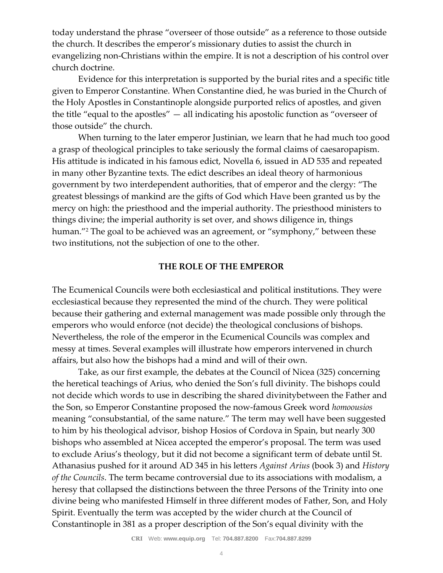today understand the phrase "overseer of those outside" as a reference to those outside the church. It describes the emperor's missionary duties to assist the church in evangelizing non-Christians within the empire. It is not a description of his control over church doctrine.

Evidence for this interpretation is supported by the burial rites and a specific title given to Emperor Constantine. When Constantine died, he was buried in the Church of the Holy Apostles in Constantinople alongside purported relics of apostles, and given the title "equal to the apostles" — all indicating his apostolic function as "overseer of those outside" the church.

When turning to the later emperor Justinian, we learn that he had much too good a grasp of theological principles to take seriously the formal claims of caesaropapism. His attitude is indicated in his famous edict, Novella 6, issued in AD 535 and repeated in many other Byzantine texts. The edict describes an ideal theory of harmonious government by two interdependent authorities, that of emperor and the clergy: "The greatest blessings of mankind are the gifts of God which Have been granted us by the mercy on high: the priesthood and the imperial authority. The priesthood ministers to things divine; the imperial authority is set over, and shows diligence in, things human."<sup>2</sup> The goal to be achieved was an agreement, or "symphony," between these two institutions, not the subjection of one to the other.

### **THE ROLE OF THE EMPEROR**

The Ecumenical Councils were both ecclesiastical and political institutions. They were ecclesiastical because they represented the mind of the church. They were political because their gathering and external management was made possible only through the emperors who would enforce (not decide) the theological conclusions of bishops. Nevertheless, the role of the emperor in the Ecumenical Councils was complex and messy at times. Several examples will illustrate how emperors intervened in church affairs, but also how the bishops had a mind and will of their own.

Take, as our first example, the debates at the Council of Nicea (325) concerning the heretical teachings of Arius, who denied the Son's full divinity. The bishops could not decide which words to use in describing the shared divinitybetween the Father and the Son, so Emperor Constantine proposed the now-famous Greek word *homoousios*  meaning "consubstantial, of the same nature." The term may well have been suggested to him by his theological advisor, bishop Hosios of Cordova in Spain, but nearly 300 bishops who assembled at Nicea accepted the emperor's proposal. The term was used to exclude Arius's theology, but it did not become a significant term of debate until St. Athanasius pushed for it around AD 345 in his letters *Against Arius* (book 3) and *History of the Councils*. The term became controversial due to its associations with modalism, a heresy that collapsed the distinctions between the three Persons of the Trinity into one divine being who manifested Himself in three different modes of Father, Son, and Holy Spirit. Eventually the term was accepted by the wider church at the Council of Constantinople in 381 as a proper description of the Son's equal divinity with the